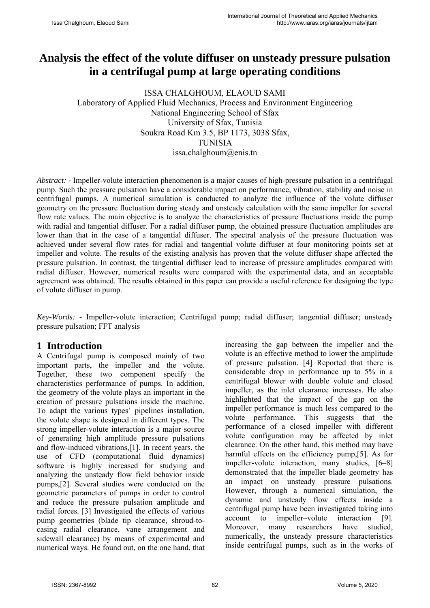# **Analysis the effect of the volute diffuser on unsteady pressure pulsation in a centrifugal pump at large operating conditions**

ISSA CHALGHOUM, ELAOUD SAMI Laboratory of Applied Fluid Mechanics, Process and Environment Engineering National Engineering School of Sfax University of Sfax, Tunisia Soukra Road Km 3.5, BP 1173, 3038 Sfax, TUNISIA issa.chalghoum@enis.tn

*Abstract: -* Impeller-volute interaction phenomenon is a major causes of high-pressure pulsation in a centrifugal pump. Such the pressure pulsation have a considerable impact on performance, vibration, stability and noise in centrifugal pumps. A numerical simulation is conducted to analyze the influence of the volute diffuser geometry on the pressure fluctuation during steady and unsteady calculation with the same impeller for several flow rate values. The main objective is to analyze the characteristics of pressure fluctuations inside the pump with radial and tangential diffuser. For a radial diffuser pump, the obtained pressure fluctuation amplitudes are lower than that in the case of a tangential diffuser. The spectral analysis of the pressure fluctuation was achieved under several flow rates for radial and tangential volute diffuser at four monitoring points set at impeller and volute. The results of the existing analysis has proven that the volute diffuser shape affected the pressure pulsation. In contrast, the tangential diffuser lead to increase of pressure amplitudes compared with radial diffuser. However, numerical results were compared with the experimental data, and an acceptable agreement was obtained. The results obtained in this paper can provide a useful reference for designing the type of volute diffuser in pump.

*Key-Words:* - Impeller-volute interaction; Centrifugal pump; radial diffuser; tangential diffuser; unsteady pressure pulsation; FFT analysis

## **1 Introduction**

A Centrifugal pump is composed mainly of two important parts, the impeller and the volute. Together, these two component specify the characteristics performance of pumps. In addition, the geometry of the volute plays an important in the creation of pressure pulsations inside the machine. To adapt the various types' pipelines installation, the volute shape is designed in different types. The strong impeller-volute interaction is a major source of generating high amplitude pressure pulsations and flow-induced vibrations,[1]. In recent years, the use of CFD (computational fluid dynamics) software is highly increased for studying and analyzing the unsteady flow field behavior inside pumps,[2]. Several studies were conducted on the geometric parameters of pumps in order to control and reduce the pressure pulsation amplitude and radial forces. [3] Investigated the effects of various pump geometries (blade tip clearance, shroud-tocasing radial clearance, vane arrangement and sidewall clearance) by means of experimental and numerical ways. He found out, on the one hand, that increasing the gap between the impeller and the volute is an effective method to lower the amplitude of pressure pulsation. [4] Reported that there is considerable drop in performance up to 5% in a centrifugal blower with double volute and closed impeller, as the inlet clearance increases. He also highlighted that the impact of the gap on the impeller performance is much less compared to the volute performance. This suggests that the performance of a closed impeller with different volute configuration may be affected by inlet clearance. On the other hand, this method may have harmful effects on the efficiency pump, [5]. As for impeller-volute interaction, many studies, [6–8] demonstrated that the impeller blade geometry has an impact on unsteady pressure pulsations. However, through a numerical simulation, the dynamic and unsteady flow effects inside a centrifugal pump have been investigated taking into account to impeller–volute interaction [9]. Moreover, many researchers have studied, numerically, the unsteady pressure characteristics inside centrifugal pumps, such as in the works of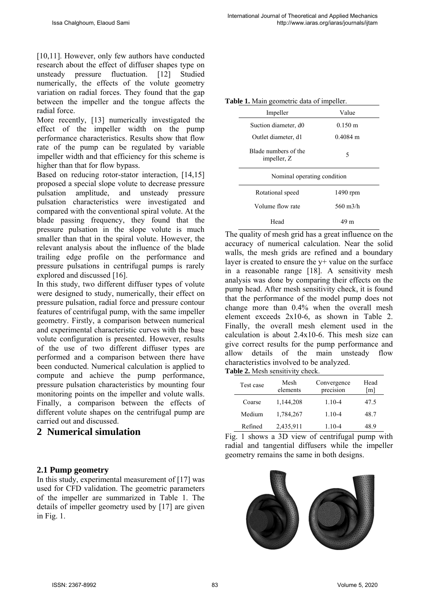[10,11]. However, only few authors have conducted research about the effect of diffuser shapes type on unsteady pressure fluctuation. [12] Studied numerically, the effects of the volute geometry variation on radial forces. They found that the gap between the impeller and the tongue affects the radial force.

More recently, [13] numerically investigated the effect of the impeller width on the pump performance characteristics. Results show that flow rate of the pump can be regulated by variable impeller width and that efficiency for this scheme is higher than that for flow bypass.

Based on reducing rotor-stator interaction, [14,15] proposed a special slope volute to decrease pressure pulsation amplitude, and unsteady pressure pulsation characteristics were investigated and compared with the conventional spiral volute. At the blade passing frequency, they found that the pressure pulsation in the slope volute is much smaller than that in the spiral volute. However, the relevant analysis about the influence of the blade trailing edge profile on the performance and pressure pulsations in centrifugal pumps is rarely explored and discussed [16].

In this study, two different diffuser types of volute were designed to study, numerically, their effect on pressure pulsation, radial force and pressure contour features of centrifugal pump, with the same impeller geometry. Firstly, a comparison between numerical and experimental characteristic curves with the base volute configuration is presented. However, results of the use of two different diffuser types are performed and a comparison between there have been conducted. Numerical calculation is applied to compute and achieve the pump performance, pressure pulsation characteristics by mounting four monitoring points on the impeller and volute walls. Finally, a comparison between the effects of different volute shapes on the centrifugal pump are carried out and discussed.

### **2 Numerical simulation**

### **2.1 Pump geometry**

In this study, experimental measurement of [17] was used for CFD validation. The geometric parameters of the impeller are summarized in Table 1. The details of impeller geometry used by [17] are given in Fig. 1.

|  |  |  |  | Table 1. Main geometric data of impeller. |
|--|--|--|--|-------------------------------------------|
|--|--|--|--|-------------------------------------------|

| Impeller                            | Value             |  |  |
|-------------------------------------|-------------------|--|--|
| Suction diameter, d0                | $0.150 \text{ m}$ |  |  |
| Outlet diameter, d1                 | $0.4084$ m        |  |  |
| Blade numbers of the<br>impeller, Z | 5                 |  |  |
| Nominal operating condition         |                   |  |  |
| Rotational speed                    | 1490 rpm          |  |  |
| Volume flow rate                    |                   |  |  |
|                                     | 560 m $3/h$       |  |  |

The quality of mesh grid has a great influence on the accuracy of numerical calculation. Near the solid walls, the mesh grids are refined and a boundary layer is created to ensure the  $y+$  value on the surface in a reasonable range [18]. A sensitivity mesh analysis was done by comparing their effects on the pump head. After mesh sensitivity check, it is found that the performance of the model pump does not change more than 0.4% when the overall mesh element exceeds 2x10-6, as shown in Table 2. Finally, the overall mesh element used in the calculation is about 2.4x10-6. This mesh size can give correct results for the pump performance and allow details of the main unsteady flow characteristics involved to be analyzed. **Table 2.** Mesh sensitivity check.

| Test case | Mesh<br>elements | Convergence<br>precision | Head<br>[m] |
|-----------|------------------|--------------------------|-------------|
| Coarse    | 1,144,208        | $1.10 - 4$               | 47.5        |
| Medium    | 1,784,267        | $1.10 - 4$               | 48.7        |
| Refined   | 2,435,911        | $1.10 - 4$               | 48.9        |



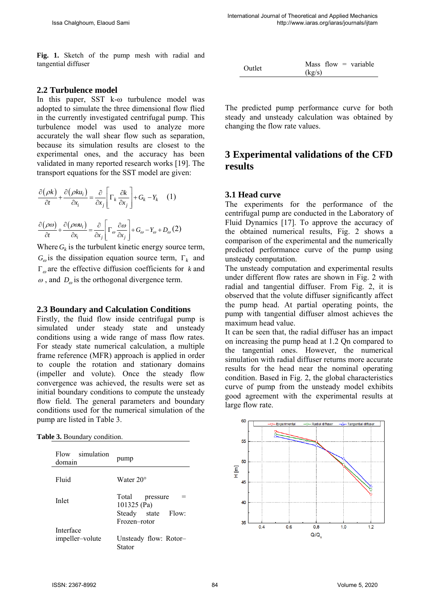**Fig. 1.** Sketch of the pump mesh with radial and tangential diffuser

#### **2.2 Turbulence model**

In this paper, SST k-ω turbulence model was adopted to simulate the three dimensional flow flied in the currently investigated centrifugal pump. This turbulence model was used to analyze more accurately the wall shear flow such as separation, because its simulation results are closest to the experimental ones, and the accuracy has been validated in many reported research works [19]. The transport equations for the SST model are given:

$$
\frac{\partial (\rho k)}{\partial t} + \frac{\partial (\rho k u_i)}{\partial x_i} = \frac{\partial}{\partial x_j} \left[ \Gamma_k \frac{\partial k}{\partial x_j} \right] + G_k - Y_k \quad (1)
$$

$$
\frac{\partial (\rho \omega)}{\partial t} + \frac{\partial (\rho \omega u_i)}{\partial x_i} = \frac{\partial}{\partial x_j} \left[ \Gamma_\omega \frac{\partial \omega}{\partial x_j} \right] + G_\omega - Y_\omega + D_\omega (2)
$$

Where  $G_k$  is the turbulent kinetic energy source term,  $G_{\varphi}$  is the dissipation equation source term,  $\Gamma_{k}$  and  $\Gamma_{\omega}$  are the effective diffusion coefficients for *k* and  $\omega$ , and  $D_{\omega}$  is the orthogonal divergence term.

#### **2.3 Boundary and Calculation Conditions**

Firstly, the fluid flow inside centrifugal pump is simulated under steady state and unsteady conditions using a wide range of mass flow rates. For steady state numerical calculation, a multiple frame reference (MFR) approach is applied in order to couple the rotation and stationary domains (impeller and volute). Once the steady flow convergence was achieved, the results were set as initial boundary conditions to compute the unsteady flow field. The general parameters and boundary conditions used for the numerical simulation of the pump are listed in Table 3.

| Table 3. Boundary condition. |  |  |  |
|------------------------------|--|--|--|
|------------------------------|--|--|--|

| simulation<br>Flow<br>domain | pump                                                                      |  |  |
|------------------------------|---------------------------------------------------------------------------|--|--|
| Fluid                        | Water $20^{\circ}$                                                        |  |  |
| Inlet                        | Total<br>pressure<br>101325 (Pa)<br>Steady state<br>Flow:<br>Frozen-rotor |  |  |
| Interface<br>impeller-volute | Unsteady flow: Rotor-<br>Stator                                           |  |  |

| Outlet |        |  | Mass flow $=$ variable |
|--------|--------|--|------------------------|
|        | (kg/s) |  |                        |

The predicted pump performance curve for both steady and unsteady calculation was obtained by changing the flow rate values.

# **3 Experimental validations of the CFD results**

### **3.1 Head curve**

The experiments for the performance of the centrifugal pump are conducted in the Laboratory of Fluid Dynamics [17]. To approve the accuracy of the obtained numerical results, Fig. 2 shows a comparison of the experimental and the numerically predicted performance curve of the pump using unsteady computation.

The unsteady computation and experimental results under different flow rates are shown in Fig. 2 with radial and tangential diffuser. From Fig. 2, it is observed that the volute diffuser significantly affect the pump head. At partial operating points, the pump with tangential diffuser almost achieves the maximum head value.

It can be seen that, the radial diffuser has an impact on increasing the pump head at 1.2 Qn compared to the tangential ones. However, the numerical simulation with radial diffuser returns more accurate results for the head near the nominal operating condition. Based in Fig. 2, the global characteristics curve of pump from the unsteady model exhibits good agreement with the experimental results at large flow rate.

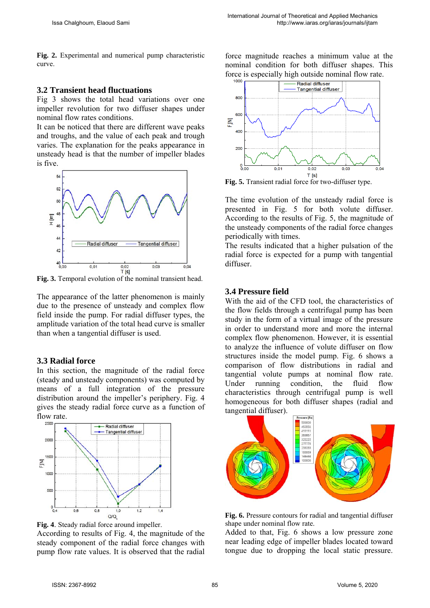**Fig. 2.** Experimental and numerical pump characteristic curve.

#### **3.2 Transient head fluctuations**

Fig 3 shows the total head variations over one impeller revolution for two diffuser shapes under nominal flow rates conditions.

It can be noticed that there are different wave peaks and troughs, and the value of each peak and trough varies. The explanation for the peaks appearance in unsteady head is that the number of impeller blades is five.



**Fig. 3.** Temporal evolution of the nominal transient head.

The appearance of the latter phenomenon is mainly due to the presence of unsteady and complex flow field inside the pump. For radial diffuser types, the amplitude variation of the total head curve is smaller than when a tangential diffuser is used.

### **3.3 Radial force**

In this section, the magnitude of the radial force (steady and unsteady components) was computed by means of a full integration of the pressure distribution around the impeller's periphery. Fig. 4 gives the steady radial force curve as a function of flow rate.



**Fig. 4**. Steady radial force around impeller.

According to results of Fig. 4, the magnitude of the steady component of the radial force changes with pump flow rate values. It is observed that the radial

force magnitude reaches a minimum value at the nominal condition for both diffuser shapes. This force is especially high outside nominal flow rate.



**Fig. 5.** Transient radial force for two-diffuser type.

The time evolution of the unsteady radial force is presented in Fig. 5 for both volute diffuser. According to the results of Fig. 5, the magnitude of the unsteady components of the radial force changes periodically with times.

The results indicated that a higher pulsation of the radial force is expected for a pump with tangential diffuser.

### **3.4 Pressure field**

With the aid of the CFD tool, the characteristics of the flow fields through a centrifugal pump has been study in the form of a virtual image of the pressure in order to understand more and more the internal complex flow phenomenon. However, it is essential to analyze the influence of volute diffuser on flow structures inside the model pump. Fig. 6 shows a comparison of flow distributions in radial and tangential volute pumps at nominal flow rate. Under running condition, the fluid flow characteristics through centrifugal pump is well homogeneous for both diffuser shapes (radial and tangential diffuser).



**Fig. 6.** Pressure contours for radial and tangential diffuser shape under nominal flow rate.

Added to that, Fig. 6 shows a low pressure zone near leading edge of impeller blades located toward tongue due to dropping the local static pressure.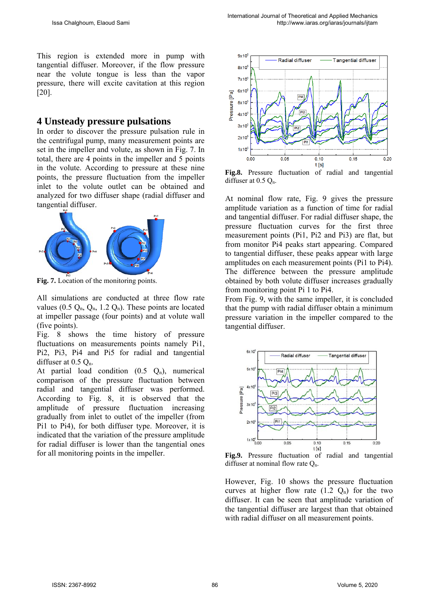This region is extended more in pump with tangential diffuser. Moreover, if the flow pressure near the volute tongue is less than the vapor pressure, there will excite cavitation at this region [20].

### **4 Unsteady pressure pulsations**

In order to discover the pressure pulsation rule in the centrifugal pump, many measurement points are set in the impeller and volute, as shown in Fig. 7. In total, there are 4 points in the impeller and 5 points in the volute. According to pressure at these nine points, the pressure fluctuation from the impeller inlet to the volute outlet can be obtained and analyzed for two diffuser shape (radial diffuser and tangential diffuser.



**Fig. 7.** Location of the monitoring points.

All simulations are conducted at three flow rate values (0.5  $Q_n$ ,  $Q_n$ , 1.2  $Q_n$ ). These points are located at impeller passage (four points) and at volute wall (five points).

Fig. 8 shows the time history of pressure fluctuations on measurements points namely Pi1, Pi2, Pi3, Pi4 and Pi5 for radial and tangential diffuser at  $0.5 Q_n$ .

At partial load condition  $(0.5 \, Q_n)$ , numerical comparison of the pressure fluctuation between radial and tangential diffuser was performed. According to Fig. 8, it is observed that the amplitude of pressure fluctuation increasing gradually from inlet to outlet of the impeller (from Pi1 to Pi4), for both diffuser type. Moreover, it is indicated that the variation of the pressure amplitude for radial diffuser is lower than the tangential ones for all monitoring points in the impeller.



**Fig.8.** Pressure fluctuation of radial and tangential diffuser at  $0.5 Q_n$ .

At nominal flow rate, Fig. 9 gives the pressure amplitude variation as a function of time for radial and tangential diffuser. For radial diffuser shape, the pressure fluctuation curves for the first three measurement points (Pi1, Pi2 and Pi3) are flat, but from monitor Pi4 peaks start appearing. Compared to tangential diffuser, these peaks appear with large amplitudes on each measurement points (Pi1 to Pi4). The difference between the pressure amplitude obtained by both volute diffuser increases gradually from monitoring point Pi 1 to Pi4.

From Fig. 9, with the same impeller, it is concluded that the pump with radial diffuser obtain a minimum pressure variation in the impeller compared to the tangential diffuser.



**Fig.9.** Pressure fluctuation of radial and tangential diffuser at nominal flow rate  $Q_n$ .

However, Fig. 10 shows the pressure fluctuation curves at higher flow rate  $(1.2 \Omega_n)$  for the two diffuser. It can be seen that amplitude variation of the tangential diffuser are largest than that obtained with radial diffuser on all measurement points.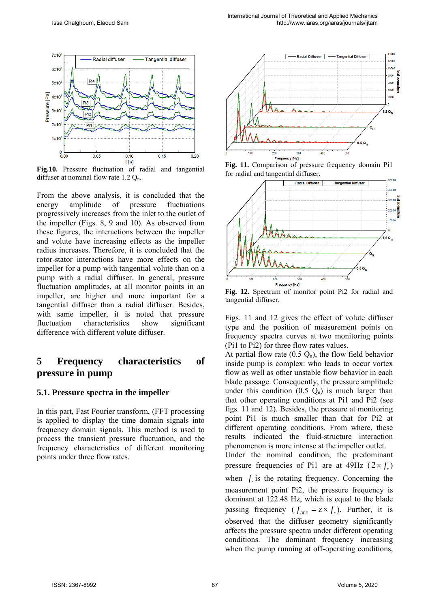

**Fig.10.** Pressure fluctuation of radial and tangential diffuser at nominal flow rate  $1.2 Q_n$ .

From the above analysis, it is concluded that the energy amplitude of pressure fluctuations progressively increases from the inlet to the outlet of the impeller (Figs. 8, 9 and 10). As observed from these figures, the interactions between the impeller and volute have increasing effects as the impeller radius increases. Therefore, it is concluded that the rotor-stator interactions have more effects on the impeller for a pump with tangential volute than on a pump with a radial diffuser. In general, pressure fluctuation amplitudes, at all monitor points in an impeller, are higher and more important for a tangential diffuser than a radial diffuser. Besides, with same impeller, it is noted that pressure fluctuation characteristics show significant difference with different volute diffuser.

# **5 Frequency characteristics of pressure in pump**

### **5.1. Pressure spectra in the impeller**

In this part, Fast Fourier transform, (FFT processing is applied to display the time domain signals into frequency domain signals. This method is used to process the transient pressure fluctuation, and the frequency characteristics of different monitoring points under three flow rates.



**Fig. 11.** Comparison of pressure frequency domain Pi1 for radial and tangential diffuser.



**Fig. 12.** Spectrum of monitor point Pi2 for radial and tangential diffuser.

Figs. 11 and 12 gives the effect of volute diffuser type and the position of measurement points on frequency spectra curves at two monitoring points (Pi1 to Pi2) for three flow rates values.

At partial flow rate  $(0.5 \text{ Q}_n)$ , the flow field behavior inside pump is complex: who leads to occur vortex flow as well as other unstable flow behavior in each blade passage. Consequently, the pressure amplitude under this condition  $(0.5 \, \text{Q}_n)$  is much larger than that other operating conditions at Pi1 and Pi2 (see figs. 11 and 12). Besides, the pressure at monitoring point Pi1 is much smaller than that for Pi2 at different operating conditions. From where, these results indicated the fluid-structure interaction phenomenon is more intense at the impeller outlet. Under the nominal condition, the predominant pressure frequencies of Pi1 are at  $49\text{Hz}$  ( $2 \times f$ ) when  $f_i$  is the rotating frequency. Concerning the measurement point Pi2, the pressure frequency is dominant at 122.48 Hz, which is equal to the blade passing frequency ( $f_{\text{p}_{\text{P}}}=z \times f_{\text{r}}$ ). Further, it is observed that the diffuser geometry significantly affects the pressure spectra under different operating conditions. The dominant frequency increasing when the pump running at off-operating conditions,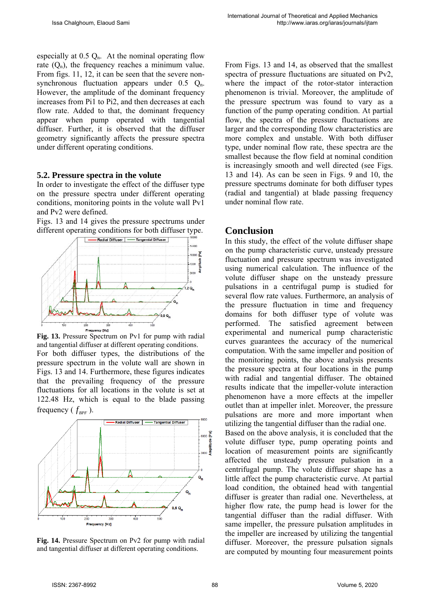especially at  $0.5 \Omega_{n}$ . At the nominal operating flow rate  $(Q_n)$ , the frequency reaches a minimum value. From figs. 11, 12, it can be seen that the severe nonsynchronous fluctuation appears under  $0.5$   $Q_n$ . However, the amplitude of the dominant frequency increases from Pi1 to Pi2, and then decreases at each flow rate. Added to that, the dominant frequency appear when pump operated with tangential diffuser. Further, it is observed that the diffuser geometry significantly affects the pressure spectra under different operating conditions.

#### **5.2. Pressure spectra in the volute**

In order to investigate the effect of the diffuser type on the pressure spectra under different operating conditions, monitoring points in the volute wall Pv1 and Pv2 were defined.

Figs. 13 and 14 gives the pressure spectrums under different operating conditions for both diffuser type.



**Fig. 13.** Pressure Spectrum on Pv1 for pump with radial and tangential diffuser at different operating conditions.

For both diffuser types, the distributions of the pressure spectrum in the volute wall are shown in Figs. 13 and 14. Furthermore, these figures indicates that the prevailing frequency of the pressure fluctuations for all locations in the volute is set at 122.48 Hz, which is equal to the blade passing frequency ( $f_{_{RPF}}$ ).



**Fig. 14.** Pressure Spectrum on Pv2 for pump with radial and tangential diffuser at different operating conditions.

From Figs. 13 and 14, as observed that the smallest spectra of pressure fluctuations are situated on Pv2, where the impact of the rotor-stator interaction phenomenon is trivial. Moreover, the amplitude of the pressure spectrum was found to vary as a function of the pump operating condition. At partial flow, the spectra of the pressure fluctuations are larger and the corresponding flow characteristics are more complex and unstable. With both diffuser type, under nominal flow rate, these spectra are the smallest because the flow field at nominal condition is increasingly smooth and well directed (see Figs. 13 and 14). As can be seen in Figs. 9 and 10, the pressure spectrums dominate for both diffuser types (radial and tangential) at blade passing frequency under nominal flow rate.

### **Conclusion**

In this study, the effect of the volute diffuser shape on the pump characteristic curve, unsteady pressure fluctuation and pressure spectrum was investigated using numerical calculation. The influence of the volute diffuser shape on the unsteady pressure pulsations in a centrifugal pump is studied for several flow rate values. Furthermore, an analysis of the pressure fluctuation in time and frequency domains for both diffuser type of volute was performed. The satisfied agreement between experimental and numerical pump characteristic curves guarantees the accuracy of the numerical computation. With the same impeller and position of the monitoring points, the above analysis presents the pressure spectra at four locations in the pump with radial and tangential diffuser. The obtained results indicate that the impeller-volute interaction phenomenon have a more effects at the impeller outlet than at impeller inlet. Moreover, the pressure pulsations are more and more important when utilizing the tangential diffuser than the radial one.

Based on the above analysis, it is concluded that the volute diffuser type, pump operating points and location of measurement points are significantly affected the unsteady pressure pulsation in a centrifugal pump. The volute diffuser shape has a little affect the pump characteristic curve. At partial load condition, the obtained head with tangential diffuser is greater than radial one. Nevertheless, at higher flow rate, the pump head is lower for the tangential diffuser than the radial diffuser. With same impeller, the pressure pulsation amplitudes in the impeller are increased by utilizing the tangential diffuser. Moreover, the pressure pulsation signals are computed by mounting four measurement points